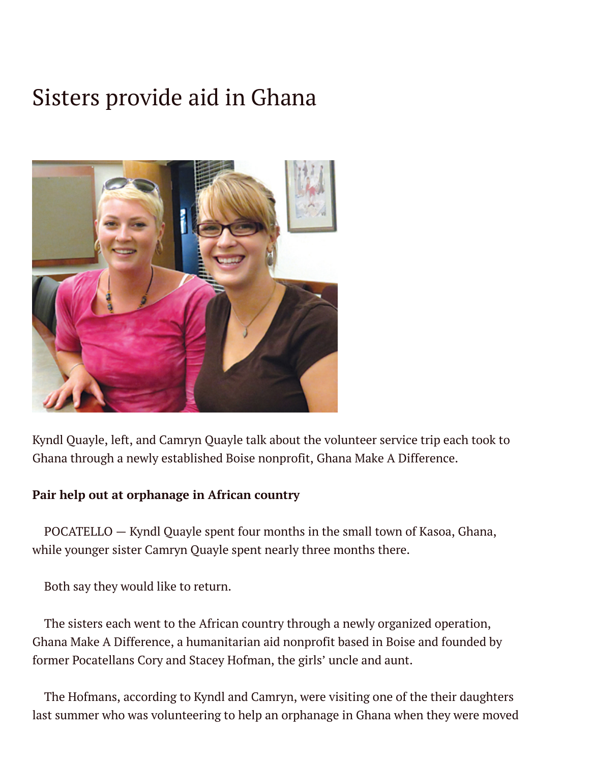## Sisters provide aid in Ghana



Kyndl Quayle, left, and Camryn Quayle talk about the volunteer service trip each took to Ghana through a newly established Boise nonprofit, Ghana Make A Difference.

## **Pair help out at orphanage in African country**

POCATELLO — Kyndl Quayle spent four months in the small town of Kasoa, Ghana, while younger sister Camryn Quayle spent nearly three months there.

Both say they would like to return.

The sisters each went to the African country through a newly organized operation, Ghana Make A Difference, a humanitarian aid nonprofit based in Boise and founded by former Pocatellans Cory and Stacey Hofman, the girls' uncle and aunt.

The Hofmans, according to Kyndl and Camryn, were visiting one of the their daughters last summer who was volunteering to help an orphanage in Ghana when they were moved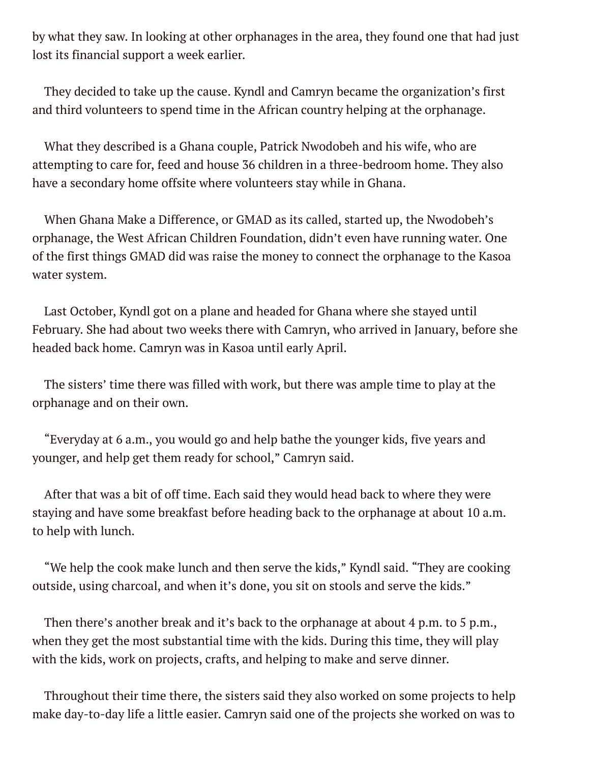by what they saw. In looking at other orphanages in the area, they found one that had just lost its financial support a week earlier.

They decided to take up the cause. Kyndl and Camryn became the organization's first and third volunteers to spend time in the African country helping at the orphanage.

What they described is a Ghana couple, Patrick Nwodobeh and his wife, who are attempting to care for, feed and house 36 children in a three-bedroom home. They also have a secondary home offsite where volunteers stay while in Ghana.

When Ghana Make a Difference, or GMAD as its called, started up, the Nwodobeh's orphanage, the West African Children Foundation, didn't even have running water. One of the first things GMAD did was raise the money to connect the orphanage to the Kasoa water system.

Last October, Kyndl got on a plane and headed for Ghana where she stayed until February. She had about two weeks there with Camryn, who arrived in January, before she headed back home. Camryn was in Kasoa until early April.

The sisters' time there was filled with work, but there was ample time to play at the orphanage and on their own.

"Everyday at 6 a.m., you would go and help bathe the younger kids, five years and younger, and help get them ready for school," Camryn said.

After that was a bit of off time. Each said they would head back to where they were staying and have some breakfast before heading back to the orphanage at about 10 a.m. to help with lunch.

"We help the cook make lunch and then serve the kids," Kyndl said. "They are cooking outside, using charcoal, and when it's done, you sit on stools and serve the kids."

Then there's another break and it's back to the orphanage at about 4 p.m. to 5 p.m., when they get the most substantial time with the kids. During this time, they will play with the kids, work on projects, crafts, and helping to make and serve dinner.

Throughout their time there, the sisters said they also worked on some projects to help make day-to-day life a little easier. Camryn said one of the projects she worked on was to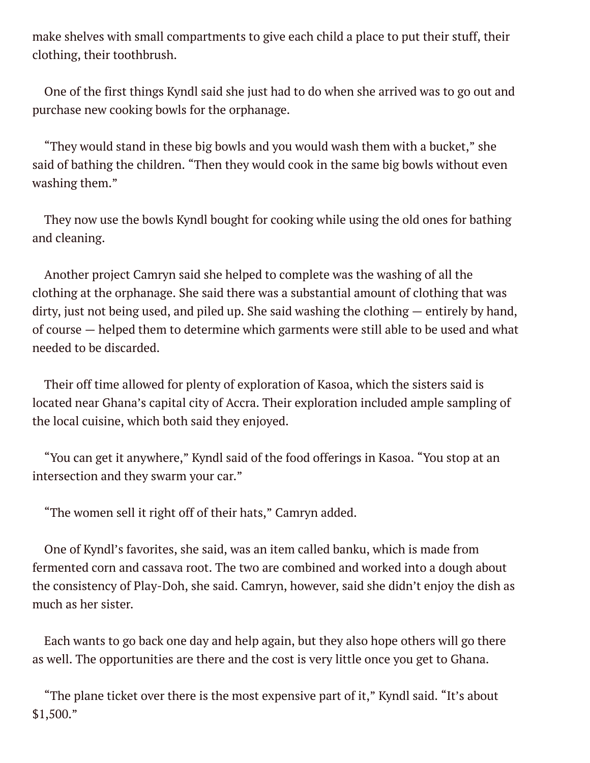make shelves with small compartments to give each child a place to put their stuff, their clothing, their toothbrush.

One of the first things Kyndl said she just had to do when she arrived was to go out and purchase new cooking bowls for the orphanage.

"They would stand in these big bowls and you would wash them with a bucket," she said of bathing the children. "Then they would cook in the same big bowls without even washing them."

They now use the bowls Kyndl bought for cooking while using the old ones for bathing and cleaning.

Another project Camryn said she helped to complete was the washing of all the clothing at the orphanage. She said there was a substantial amount of clothing that was dirty, just not being used, and piled up. She said washing the clothing — entirely by hand, of course — helped them to determine which garments were still able to be used and what needed to be discarded.

Their off time allowed for plenty of exploration of Kasoa, which the sisters said is located near Ghana's capital city of Accra. Their exploration included ample sampling of the local cuisine, which both said they enjoyed.

"You can get it anywhere," Kyndl said of the food offerings in Kasoa. "You stop at an intersection and they swarm your car."

"The women sell it right off of their hats," Camryn added.

One of Kyndl's favorites, she said, was an item called banku, which is made from fermented corn and cassava root. The two are combined and worked into a dough about the consistency of Play-Doh, she said. Camryn, however, said she didn't enjoy the dish as much as her sister.

Each wants to go back one day and help again, but they also hope others will go there as well. The opportunities are there and the cost is very little once you get to Ghana.

"The plane ticket over there is the most expensive part of it," Kyndl said. "It's about \$1,500."